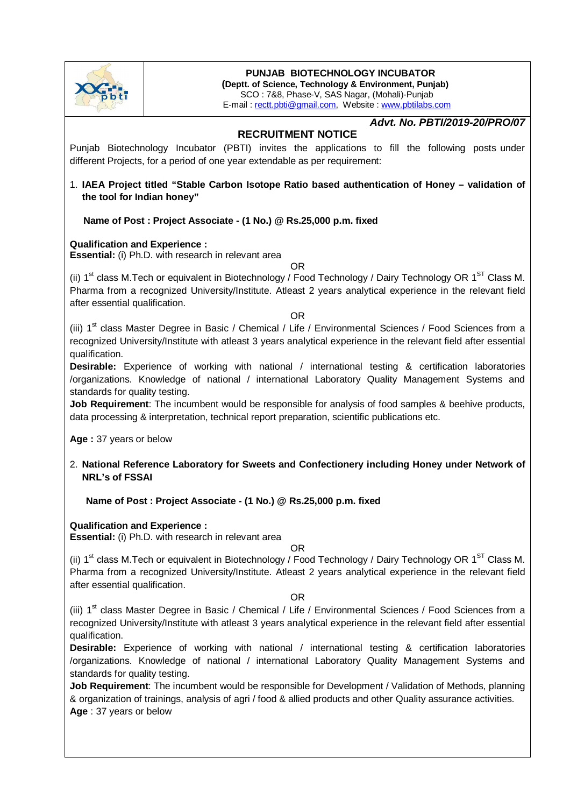

# **PUNJAB BIOTECHNOLOGY INCUBATOR**

**(Deptt. of Science, Technology & Environment, Punjab)** SCO : 7&8, Phase-V, SAS Nagar, (Mohali)-Punjab E-mail : rectt.pbti@gmail.com, Website : www.pbtilabs.com

# *Advt. No. PBTI/2019-20/PRO/07*

## **RECRUITMENT NOTICE**

Punjab Biotechnology Incubator (PBTI) invites the applications to fill the following posts under different Projects, for a period of one year extendable as per requirement:

## 1. **IAEA Project titled "Stable Carbon Isotope Ratio based authentication of Honey – validation of the tool for Indian honey"**

 **Name of Post : Project Associate - (1 No.) @ Rs.25,000 p.m. fixed**

### **Qualification and Experience :**

**Essential:** (i) Ph.D. with research in relevant area

(ii)  $1^{\text{st}}$  class M.Tech or equivalent in Biotechnology / Food Technology / Dairy Technology OR  $1^{\text{ST}}$  Class M. Pharma from a recognized University/Institute. Atleast 2 years analytical experience in the relevant field after essential qualification.

OR

#### OR

(iii) 1<sup>st</sup> class Master Degree in Basic / Chemical / Life / Environmental Sciences / Food Sciences from a recognized University/Institute with atleast 3 years analytical experience in the relevant field after essential qualification.

**Desirable:** Experience of working with national / international testing & certification laboratories /organizations. Knowledge of national / international Laboratory Quality Management Systems and standards for quality testing.

**Job Requirement**: The incumbent would be responsible for analysis of food samples & beehive products, data processing & interpretation, technical report preparation, scientific publications etc.

**Age :** 37 years or below

2. **National Reference Laboratory for Sweets and Confectionery including Honey under Network of NRL's of FSSAI**

 **Name of Post : Project Associate - (1 No.) @ Rs.25,000 p.m. fixed**

### **Qualification and Experience :**

**Essential:** (i) Ph.D. with research in relevant area

#### OR

(ii)  $1<sup>st</sup>$  class M.Tech or equivalent in Biotechnology / Food Technology / Dairy Technology OR  $1<sup>ST</sup>$  Class M. Pharma from a recognized University/Institute. Atleast 2 years analytical experience in the relevant field after essential qualification.

### OR

(iii)  $1<sup>st</sup>$  class Master Degree in Basic / Chemical / Life / Environmental Sciences / Food Sciences from a recognized University/Institute with atleast 3 years analytical experience in the relevant field after essential qualification.

**Desirable:** Experience of working with national / international testing & certification laboratories /organizations. Knowledge of national / international Laboratory Quality Management Systems and standards for quality testing.

**Job Requirement**: The incumbent would be responsible for Development / Validation of Methods, planning & organization of trainings, analysis of agri / food & allied products and other Quality assurance activities. **Age** : 37 years or below